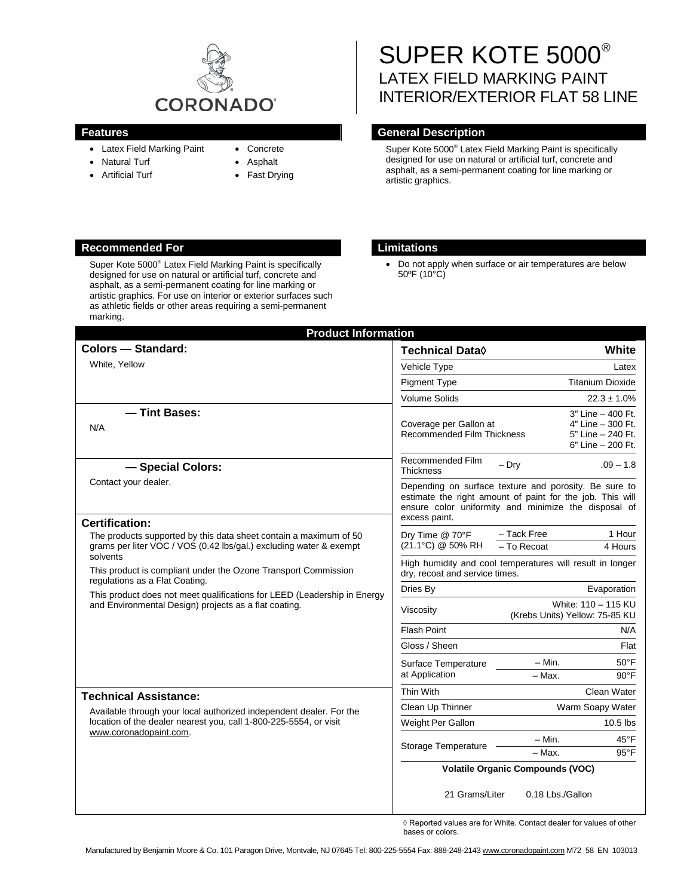

- Latex Field Marking Paint
- Natural Turf
- Artificial Turf
- Concrete
- Asphalt
	- Fast Drying

# SUPER KOTE 5000® LATEX FIELD MARKING PAINT INTERIOR/EXTERIOR FLAT 58 LINE

### **Features Features General Description**

Super Kote 5000® Latex Field Marking Paint is specifically designed for use on natural or artificial turf, concrete and asphalt, as a semi-permanent coating for line marking or artistic graphics.

### **Recommended For Limitations**

Super Kote 5000® Latex Field Marking Paint is specifically designed for use on natural or artificial turf, concrete and asphalt, as a semi-permanent coating for line marking or artistic graphics. For use on interior or exterior surfaces such as athletic fields or other areas requiring a semi-permanent marking.

• Do not apply when surface or air temperatures are below 50ºF (10°C)

| <b>Product Information</b>                                                                                                                                                                                                                                                                                                                                                                                            |                                                                                                                                                                                             |                                                                                  |
|-----------------------------------------------------------------------------------------------------------------------------------------------------------------------------------------------------------------------------------------------------------------------------------------------------------------------------------------------------------------------------------------------------------------------|---------------------------------------------------------------------------------------------------------------------------------------------------------------------------------------------|----------------------------------------------------------------------------------|
| <b>Colors - Standard:</b>                                                                                                                                                                                                                                                                                                                                                                                             | <b>Technical Data</b> ♦                                                                                                                                                                     | White                                                                            |
| White, Yellow                                                                                                                                                                                                                                                                                                                                                                                                         | Vehicle Type                                                                                                                                                                                | Latex                                                                            |
|                                                                                                                                                                                                                                                                                                                                                                                                                       | <b>Pigment Type</b>                                                                                                                                                                         | <b>Titanium Dioxide</b>                                                          |
|                                                                                                                                                                                                                                                                                                                                                                                                                       | <b>Volume Solids</b>                                                                                                                                                                        | $22.3 \pm 1.0\%$                                                                 |
| - Tint Bases:<br>N/A                                                                                                                                                                                                                                                                                                                                                                                                  | Coverage per Gallon at<br><b>Recommended Film Thickness</b>                                                                                                                                 | 3" Line - 400 Ft.<br>4" Line - 300 Ft.<br>5" Line - 240 Ft.<br>6" Line - 200 Ft. |
| - Special Colors:                                                                                                                                                                                                                                                                                                                                                                                                     | Recommended Film<br>$-$ Dry<br><b>Thickness</b>                                                                                                                                             | $.09 - 1.8$                                                                      |
| Contact your dealer.                                                                                                                                                                                                                                                                                                                                                                                                  | Depending on surface texture and porosity. Be sure to<br>estimate the right amount of paint for the job. This will<br>ensure color uniformity and minimize the disposal of<br>excess paint. |                                                                                  |
| <b>Certification:</b><br>The products supported by this data sheet contain a maximum of 50<br>grams per liter VOC / VOS (0.42 lbs/gal.) excluding water & exempt<br>solvents<br>This product is compliant under the Ozone Transport Commission<br>regulations as a Flat Coating.<br>This product does not meet qualifications for LEED (Leadership in Energy<br>and Environmental Design) projects as a flat coating. | Dry Time @ 70°F<br>(21.1°C) @ 50% RH                                                                                                                                                        | - Tack Free<br>1 Hour<br>- To Recoat<br>4 Hours                                  |
|                                                                                                                                                                                                                                                                                                                                                                                                                       | High humidity and cool temperatures will result in longer<br>dry, recoat and service times.                                                                                                 |                                                                                  |
|                                                                                                                                                                                                                                                                                                                                                                                                                       | Dries By                                                                                                                                                                                    | Evaporation                                                                      |
|                                                                                                                                                                                                                                                                                                                                                                                                                       | White: 110 - 115 KU<br>Viscosity<br>(Krebs Units) Yellow: 75-85 KU                                                                                                                          |                                                                                  |
|                                                                                                                                                                                                                                                                                                                                                                                                                       | <b>Flash Point</b>                                                                                                                                                                          | N/A                                                                              |
|                                                                                                                                                                                                                                                                                                                                                                                                                       | Gloss / Sheen                                                                                                                                                                               | Flat                                                                             |
|                                                                                                                                                                                                                                                                                                                                                                                                                       | Surface Temperature                                                                                                                                                                         | $- Min.$<br>$50^{\circ}$ F                                                       |
|                                                                                                                                                                                                                                                                                                                                                                                                                       | at Application                                                                                                                                                                              | $-$ Max.<br>$90^{\circ}$ F                                                       |
| <b>Technical Assistance:</b>                                                                                                                                                                                                                                                                                                                                                                                          | Thin With                                                                                                                                                                                   | Clean Water                                                                      |
| Available through your local authorized independent dealer. For the<br>location of the dealer nearest you, call 1-800-225-5554, or visit<br>www.coronadopaint.com.                                                                                                                                                                                                                                                    | Clean Up Thinner                                                                                                                                                                            | Warm Soapy Water                                                                 |
|                                                                                                                                                                                                                                                                                                                                                                                                                       | Weight Per Gallon                                                                                                                                                                           | $10.5$ lbs                                                                       |
|                                                                                                                                                                                                                                                                                                                                                                                                                       | Storage Temperature                                                                                                                                                                         | – Min.<br>45°F                                                                   |
|                                                                                                                                                                                                                                                                                                                                                                                                                       |                                                                                                                                                                                             | 95°F<br>$-$ Max.                                                                 |
|                                                                                                                                                                                                                                                                                                                                                                                                                       | <b>Volatile Organic Compounds (VOC)</b>                                                                                                                                                     |                                                                                  |
|                                                                                                                                                                                                                                                                                                                                                                                                                       | 21 Grams/Liter                                                                                                                                                                              | 0.18 Lbs./Gallon                                                                 |

◊ Reported values are for White. Contact dealer for values of other bases or colors.